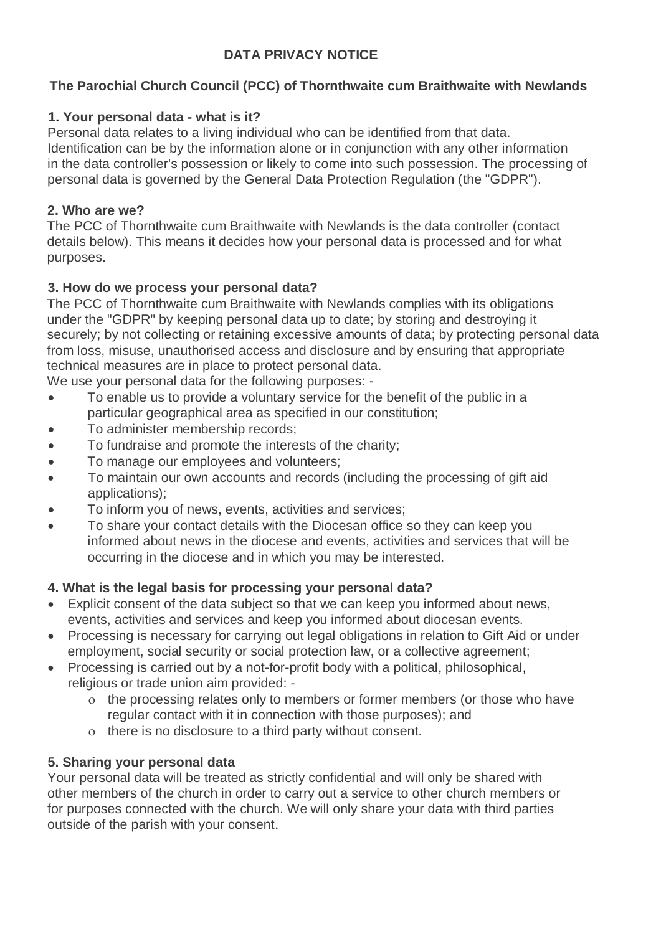# **DATA PRIVACY NOTICE**

# **The Parochial Church Council (PCC) of Thornthwaite cum Braithwaite with Newlands**

### **1. Your personal data - what is it?**

Personal data relates to a living individual who can be identified from that data. Identification can be by the information alone or in conjunction with any other information in the data controller's possession or likely to come into such possession. The processing of personal data is governed by the General Data Protection Regulation (the "GDPR").

#### **2. Who are we?**

The PCC of Thornthwaite cum Braithwaite with Newlands is the data controller (contact details below). This means it decides how your personal data is processed and for what purposes.

### **3. How do we process your personal data?**

The PCC of Thornthwaite cum Braithwaite with Newlands complies with its obligations under the "GDPR" by keeping personal data up to date; by storing and destroying it securely; by not collecting or retaining excessive amounts of data; by protecting personal data from loss, misuse, unauthorised access and disclosure and by ensuring that appropriate technical measures are in place to protect personal data.

We use your personal data for the following purposes: -

- To enable us to provide a voluntary service for the benefit of the public in a particular geographical area as specified in our constitution;
- To administer membership records;
- To fundraise and promote the interests of the charity;
- To manage our employees and volunteers;
- To maintain our own accounts and records (including the processing of gift aid applications);
- To inform you of news, events, activities and services:
- To share your contact details with the Diocesan office so they can keep you informed about news in the diocese and events, activities and services that will be occurring in the diocese and in which you may be interested.

### **4. What is the legal basis for processing your personal data?**

- Explicit consent of the data subject so that we can keep you informed about news, events, activities and services and keep you informed about diocesan events.
- Processing is necessary for carrying out legal obligations in relation to Gift Aid or under employment, social security or social protection law, or a collective agreement;
- Processing is carried out by a not-for-profit body with a political, philosophical, religious or trade union aim provided:
	- the processing relates only to members or former members (or those who have regular contact with it in connection with those purposes); and
	- o there is no disclosure to a third party without consent.

### **5. Sharing your personal data**

Your personal data will be treated as strictly confidential and will only be shared with other members of the church in order to carry out a service to other church members or for purposes connected with the church. We will only share your data with third parties outside of the parish with your consent.